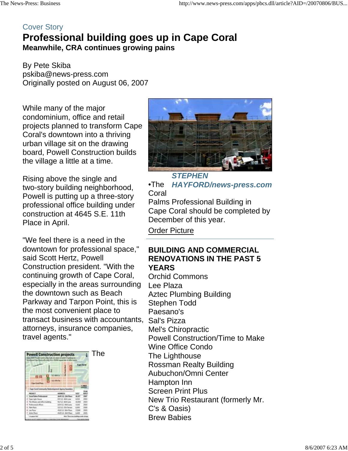# Cover Story **Professional building goes up in Cape Coral Meanwhile, CRA continues growing pains**

By Pete Skiba pskiba@news-press.com Originally posted on August 06, 2007

While many of the major condominium, office and retail projects planned to transform Cape Coral's downtown into a thriving urban village sit on the drawing board, Powell Construction builds the village a little at a time.

Rising above the single and two-story building neighborhood, Powell is putting up a three-story professional office building under construction at 4645 S.E. 11th Place in April.

"We feel there is a need in the downtown for professional space," said Scott Hertz, Powell Construction president. "With the continuing growth of Cape Coral, especially in the areas surrounding the downtown such as Beach Parkway and Tarpon Point, this is the most convenient place to transact business with accountants, attorneys, insurance companies, travel agents."



*STEPHEN*  •The *HAYFORD/news-press.com* Coral Palms Professional Building in Cape Coral should be completed by December of this year.

Order Picture

### **BUILDING AND COMMERCIAL RENOVATIONS IN THE PAST 5 YEARS**

Orchid Commons Lee Plaza Aztec Plumbing Building Stephen Todd Paesano's Sal's Pizza Mel's Chiropractic Powell Construction/Time to Make Wine Office Condo The Lighthouse Rossman Realty Building Aubuchon/Omni Center Hampton Inn Screen Print Plus New Trio Restaurant (formerly Mr. C's & Oasis) Brew Babies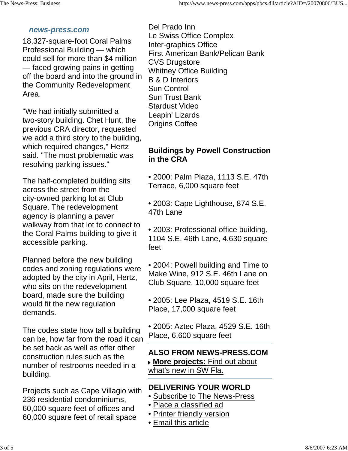#### *news-press.com*

18,327-square-foot Coral Palms Professional Building — which could sell for more than \$4 million — faced growing pains in getting off the board and into the ground in the Community Redevelopment Area.

"We had initially submitted a two-story building. Chet Hunt, the previous CRA director, requested we add a third story to the building, which required changes," Hertz said. "The most problematic was resolving parking issues."

The half-completed building sits across the street from the city-owned parking lot at Club Square. The redevelopment agency is planning a paver walkway from that lot to connect to the Coral Palms building to give it accessible parking.

Planned before the new building codes and zoning regulations were adopted by the city in April, Hertz, who sits on the redevelopment board, made sure the building would fit the new regulation demands.

The codes state how tall a building can be, how far from the road it can be set back as well as offer other construction rules such as the number of restrooms needed in a building.

Projects such as Cape Villagio with 236 residential condominiums, 60,000 square feet of offices and 60,000 square feet of retail space

Del Prado Inn Le Swiss Office Complex Inter-graphics Office First American Bank/Pelican Bank CVS Drugstore Whitney Office Building B & D Interiors Sun Control Sun Trust Bank Stardust Video Leapin' Lizards Origins Coffee

## **Buildings by Powell Construction in the CRA**

• 2000: Palm Plaza, 1113 S.E. 47th Terrace, 6,000 square feet

• 2003: Cape Lighthouse, 874 S.E. 47th Lane

• 2003: Professional office building, 1104 S.E. 46th Lane, 4,630 square feet

• 2004: Powell building and Time to Make Wine, 912 S.E. 46th Lane on Club Square, 10,000 square feet

• 2005: Lee Plaza, 4519 S.E. 16th Place, 17,000 square feet

• 2005: Aztec Plaza, 4529 S.E. 16th Place, 6,600 square feet

**ALSO FROM NEWS-PRESS.COM More projects:** Find out about what's new in SW Fla.

## **DELIVERING YOUR WORLD**

- Subscribe to The News-Press
- Place a classified ad
- Printer friendly version
- Email this article